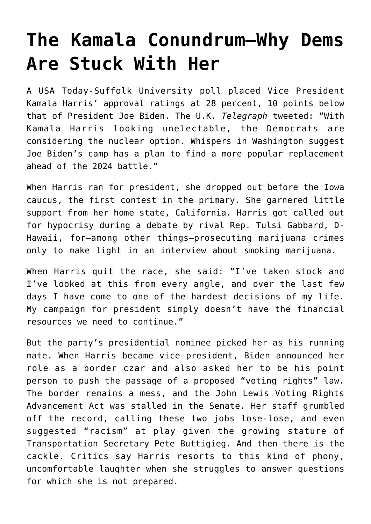## **[The Kamala Conundrum—Why Dems](https://intellectualtakeout.org/2021/12/the-kamala-conundrum-why-dems-are-stuck-with-her/) [Are Stuck With Her](https://intellectualtakeout.org/2021/12/the-kamala-conundrum-why-dems-are-stuck-with-her/)**

A USA Today-Suffolk University poll placed Vice President Kamala Harris' approval ratings at 28 percent, 10 points below that of President Joe Biden. The U.K. *Telegraph* tweeted: "With Kamala Harris looking unelectable, the Democrats are considering the nuclear option. Whispers in Washington suggest Joe Biden's camp has a plan to find a more popular replacement ahead of the 2024 battle."

When Harris ran for president, she dropped out before the Iowa caucus, the first contest in the primary. She garnered little support from her home state, California. Harris got called out for hypocrisy during a debate by rival Rep. Tulsi Gabbard, D-Hawaii, for—among other things—prosecuting marijuana crimes only to make light in an interview about smoking marijuana.

When Harris quit the race, she said: "I've taken stock and I've looked at this from every angle, and over the last few days I have come to one of the hardest decisions of my life. My campaign for president simply doesn't have the financial resources we need to continue."

But the party's presidential nominee picked her as his running mate. When Harris became vice president, Biden announced her role as a border czar and also asked her to be his point person to push the passage of a proposed "voting rights" law. The border remains a mess, and the John Lewis Voting Rights Advancement Act was stalled in the Senate. Her staff grumbled off the record, calling these two jobs lose-lose, and even suggested "racism" at play given the growing stature of Transportation Secretary Pete Buttigieg. And then there is the cackle. Critics say Harris resorts to this kind of phony, uncomfortable laughter when she struggles to answer questions for which she is not prepared.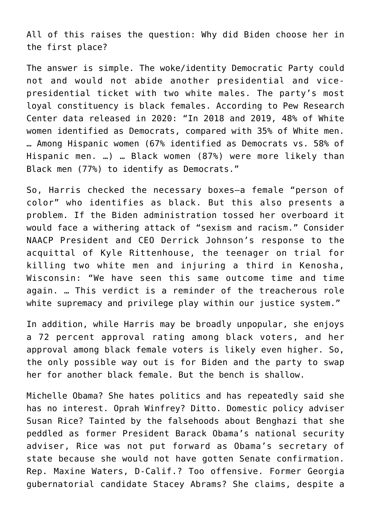All of this raises the question: Why did Biden choose her in the first place?

The answer is simple. The woke/identity Democratic Party could not and would not abide another presidential and vicepresidential ticket with two white males. The party's most loyal constituency is black females. According to Pew Research Center data released in 2020: "In 2018 and 2019, 48% of White women identified as Democrats, compared with 35% of White men. … Among Hispanic women (67% identified as Democrats vs. 58% of Hispanic men. …) … Black women (87%) were more likely than Black men (77%) to identify as Democrats."

So, Harris checked the necessary boxes—a female "person of color" who identifies as black. But this also presents a problem. If the Biden administration tossed her overboard it would face a withering attack of "sexism and racism." Consider NAACP President and CEO Derrick Johnson's response to the acquittal of Kyle Rittenhouse, the teenager on trial for killing two white men and injuring a third in Kenosha, Wisconsin: "We have seen this same outcome time and time again. … This verdict is a reminder of the treacherous role white supremacy and privilege play within our justice system."

In addition, while Harris may be broadly unpopular, she enjoys a 72 percent approval rating among black voters, and her approval among black female voters is likely even higher. So, the only possible way out is for Biden and the party to swap her for another black female. But the bench is shallow.

Michelle Obama? She hates politics and has repeatedly said she has no interest. Oprah Winfrey? Ditto. Domestic policy adviser Susan Rice? Tainted by the falsehoods about Benghazi that she peddled as former President Barack Obama's national security adviser, Rice was not put forward as Obama's secretary of state because she would not have gotten Senate confirmation. Rep. Maxine Waters, D-Calif.? Too offensive. Former Georgia gubernatorial candidate Stacey Abrams? She claims, despite a